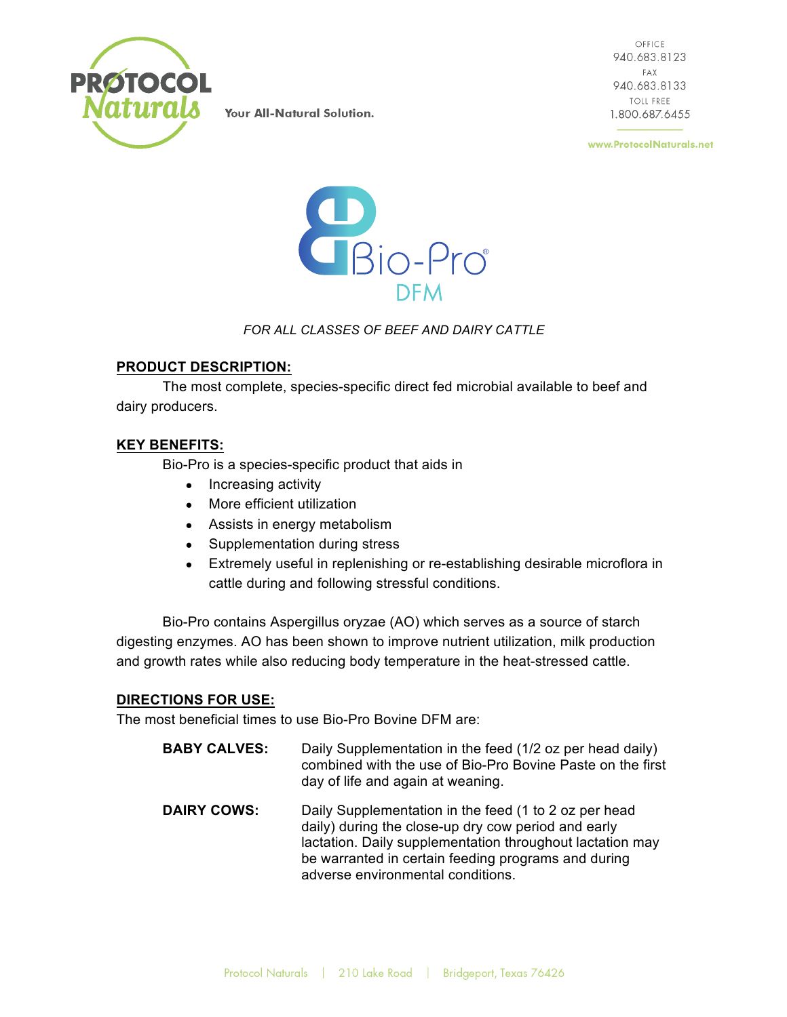

OFFICE 940.683.8123 FAX 940.683.8133 **TOLL FREE** 1.800.687.6455

www.ProtocolNaturals.net



#### *FOR ALL CLASSES OF BEEF AND DAIRY CATTLE*

#### **PRODUCT DESCRIPTION:**

The most complete, species-specific direct fed microbial available to beef and dairy producers.

### **KEY BENEFITS:**

Bio-Pro is a species-specific product that aids in

- Increasing activity
- More efficient utilization
- Assists in energy metabolism
- Supplementation during stress
- Extremely useful in replenishing or re-establishing desirable microflora in cattle during and following stressful conditions.

Bio-Pro contains Aspergillus oryzae (AO) which serves as a source of starch digesting enzymes. AO has been shown to improve nutrient utilization, milk production and growth rates while also reducing body temperature in the heat-stressed cattle.

#### **DIRECTIONS FOR USE:**

The most beneficial times to use Bio-Pro Bovine DFM are:

**BABY CALVES:** Daily Supplementation in the feed (1/2 oz per head daily) combined with the use of Bio-Pro Bovine Paste on the first day of life and again at weaning. **DAIRY COWS:** Daily Supplementation in the feed (1 to 2 oz per head daily) during the close-up dry cow period and early lactation. Daily supplementation throughout lactation may be warranted in certain feeding programs and during adverse environmental conditions.